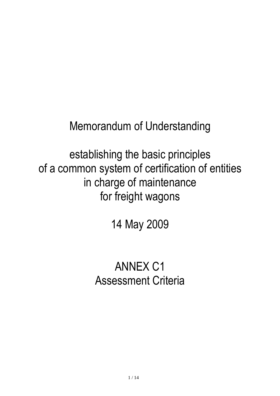Memorandum of Understanding

establishing the basic principles of a common system of certification of entities in charge of maintenance for freight wagons

14 May 2009

# ANNEX C1 Assessment Criteria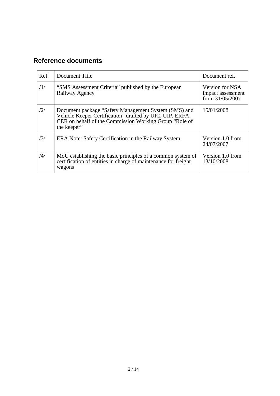# **Reference documents**

| Ref.          | Document Title                                                                                                                                                                            | Document ref.                                           |
|---------------|-------------------------------------------------------------------------------------------------------------------------------------------------------------------------------------------|---------------------------------------------------------|
| /1/           | "SMS Assessment Criteria" published by the European<br>Railway Agency                                                                                                                     | Version for NSA<br>impact assessment<br>from 31/05/2007 |
| /2/           | Document package "Safety Management System (SMS) and<br>Vehicle Keeper Certification" drafted by UIC, UIP, ERFA,<br>CER on behalf of the Commission Working Group "Role of<br>the keeper" | 15/01/2008                                              |
| /3/           | ERA Note: Safety Certification in the Railway System                                                                                                                                      | Version 1.0 from<br>24/07/2007                          |
| $\frac{1}{4}$ | MoU establishing the basic principles of a common system of<br>certification of entities in charge of maintenance for freight<br>wagons                                                   | Version 1.0 from<br>13/10/2008                          |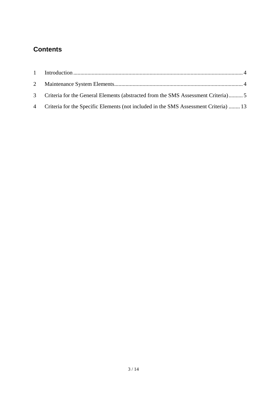# **Contents**

| 3 Criteria for the General Elements (abstracted from the SMS Assessment Criteria)5     |  |
|----------------------------------------------------------------------------------------|--|
| 4 Criteria for the Specific Elements (not included in the SMS Assessment Criteria)  13 |  |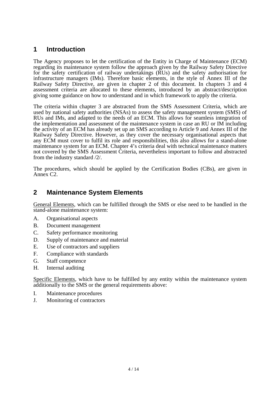## <span id="page-3-0"></span>**1 Introduction**

The Agency proposes to let the certification of the Entity in Charge of Maintenance (ECM) regarding its maintenance system follow the approach given by the Railway Safety Directive for the safety certification of railway undertakings (RUs) and the safety authorisation for infrastructure managers (IMs). Therefore basic elements, in the style of Annex III of the Railway Safety Directive, are given in chapter 2 of this document. In chapters 3 and 4 assessment criteria are allocated to these elements, introduced by an abstract/description giving some guidance on how to understand and in which framework to apply the criteria.

The criteria within chapter 3 are abstracted from the SMS Assessment Criteria, which are used by national safety authorities (NSAs) to assess the safety management system (SMS) of RUs and IMs, and adapted to the needs of an ECM. This allows for seamless integration of the implementation and assessment of the maintenance system in case an RU or IM including the activity of an ECM has already set up an SMS according to Article 9 and Annex III of the Railway Safety Directive. However, as they cover the necessary organisational aspects that any ECM must cover to fulfil its role and responsibilities, this also allows for a stand-alone maintenance system for an ECM. Chapter 4's criteria deal with technical maintenance matters not covered by the SMS Assessment Criteria, nevertheless important to follow and abstracted from the industry standard /2/.

The procedures, which should be applied by the Certification Bodies (CBs), are given in Annex C2.

### <span id="page-3-1"></span>**2 Maintenance System Elements**

General Elements, which can be fulfilled through the SMS or else need to be handled in the stand-alone maintenance system:

- A. Organisational aspects
- B. Document management
- C. Safety performance monitoring
- D. Supply of maintenance and material
- E. Use of contractors and suppliers
- F. Compliance with standards
- G. Staff competence
- H. Internal auditing

Specific Elements, which have to be fulfilled by any entity within the maintenance system additionally to the SMS or the general requirements above:

- I. Maintenance procedures
- J. Monitoring of contractors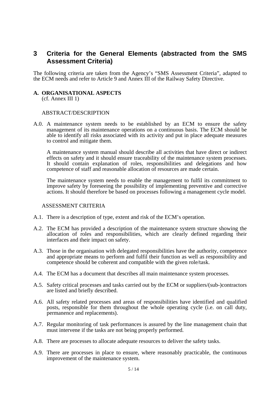### <span id="page-4-0"></span>**3 Criteria for the General Elements (abstracted from the SMS Assessment Criteria)**

The following criteria are taken from the Agency's "SMS Assessment Criteria", adapted to the ECM needs and refer to Article 9 and Annex III of the Railway Safety Directive.

# **A. ORGANISATIONAL ASPECTS** (cf. Annex III 1)

#### ABSTRACT/DESCRIPTION

A.0. A maintenance system needs to be established by an ECM to ensure the safety management of its maintenance operations on a continuous basis. The ECM should be able to identify all risks associated with its activity and put in place adequate measures to control and mitigate them.

A maintenance system manual should describe all activities that have direct or indirect effects on safety and it should ensure traceability of the maintenance system processes. It should contain explanation of roles, responsibilities and delegations and how competence of staff and reasonable allocation of resources are made certain.

The maintenance system needs to enable the management to fulfil its commitment to improve safety by foreseeing the possibility of implementing preventive and corrective actions. It should therefore be based on processes following a management cycle model.

- A.1. There is a description of type, extent and risk of the ECM's operation.
- A.2. The ECM has provided a description of the maintenance system structure showing the allocation of roles and responsibilities, which are clearly defined regarding their interfaces and their impact on safety.
- A.3. Those in the organisation with delegated responsibilities have the authority, competence and appropriate means to perform and fulfil their function as well as responsibility and competence should be coherent and compatible with the given role/task.
- A.4. The ECM has a document that describes all main maintenance system processes.
- A.5. Safety critical processes and tasks carried out by the ECM or suppliers/(sub-)contractors are listed and briefly described.
- A.6. All safety related processes and areas of responsibilities have identified and qualified posts, responsible for them throughout the whole operating cycle (i.e. on call duty, permanence and replacements).
- A.7. Regular monitoring of task performances is assured by the line management chain that must intervene if the tasks are not being properly performed.
- A.8. There are processes to allocate adequate resources to deliver the safety tasks.
- A.9. There are processes in place to ensure, where reasonably practicable, the continuous improvement of the maintenance system.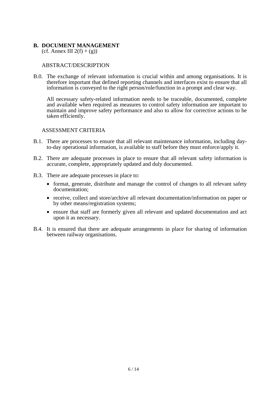#### **B. DOCUMENT MANAGEMENT**

(cf. Annex III  $2(f) + (g)$ )

#### ABSTRACT/DESCRIPTION

B.0. The exchange of relevant information is crucial within and among organisations. It is therefore important that defined reporting channels and interfaces exist to ensure that all information is conveyed to the right person/role/function in a prompt and clear way.

All necessary safety-related information needs to be traceable, documented, complete and available when required as measures to control safety information are important to maintain and improve safety performance and also to allow for corrective actions to be taken efficiently.

- B.1. There are processes to ensure that all relevant maintenance information, including dayto-day operational information, is available to staff before they must enforce/apply it.
- B.2. There are adequate processes in place to ensure that all relevant safety information is accurate, complete, appropriately updated and duly documented.
- B.3. There are adequate processes in place to:
	- format, generate, distribute and manage the control of changes to all relevant safety documentation;
	- receive, collect and store/archive all relevant documentation/information on paper or by other means/registration systems;
	- ensure that staff are formerly given all relevant and updated documentation and act upon it as necessary.
- B.4. It is ensured that there are adequate arrangements in place for sharing of information between railway organisations.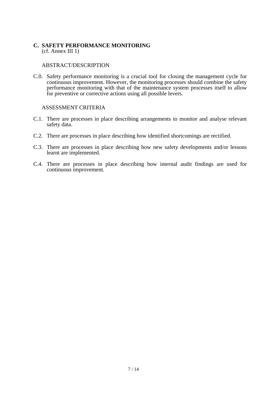#### **C. SAFETY PERFORMANCE MONITORING** (cf. Annex III 1)

#### ABSTRACT/DESCRIPTION

C.0. Safety performance monitoring is a crucial tool for closing the management cycle for continuous improvement. However, the monitoring processes should combine the safety performance monitoring with that of the maintenance system processes itself to allow for preventive or corrective actions using all possible levers.

- C.1. There are processes in place describing arrangements to monitor and analyse relevant safety data.
- C.2. There are processes in place describing how identified shortcomings are rectified.
- C.3. There are processes in place describing how new safety developments and/or lessons learnt are implemented.
- C.4. There are processes in place describing how internal audit findings are used for continuous improvement.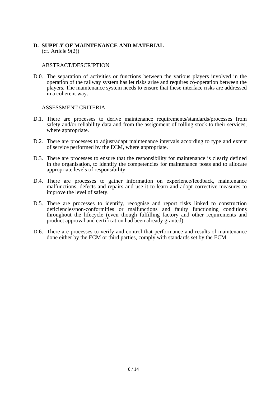#### **D. SUPPLY OF MAINTENANCE AND MATERIAL** (cf. Article 9(2))

#### ABSTRACT/DESCRIPTION

D.0. The separation of activities or functions between the various players involved in the operation of the railway system has let risks arise and requires co-operation between the players. The maintenance system needs to ensure that these interface risks are addressed in a coherent way.

- D.1. There are processes to derive maintenance requirements/standards/processes from safety and/or reliability data and from the assignment of rolling stock to their services, where appropriate.
- D.2. There are processes to adjust/adapt maintenance intervals according to type and extent of service performed by the ECM, where appropriate.
- D.3. There are processes to ensure that the responsibility for maintenance is clearly defined in the organisation, to identify the competencies for maintenance posts and to allocate appropriate levels of responsibility.
- D.4. There are processes to gather information on experience/feedback, maintenance malfunctions, defects and repairs and use it to learn and adopt corrective measures to improve the level of safety.
- D.5. There are processes to identify, recognise and report risks linked to construction deficiencies/non-conformities or malfunctions and faulty functioning conditions throughout the lifecycle (even though fulfilling factory and other requirements and product approval and certification had been already granted).
- D.6. There are processes to verify and control that performance and results of maintenance done either by the ECM or third parties, comply with standards set by the ECM.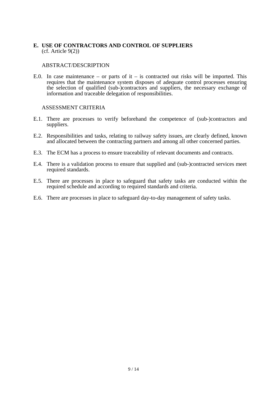#### **E. USE OF CONTRACTORS AND CONTROL OF SUPPLIERS** (cf. Article 9(2))

#### ABSTRACT/DESCRIPTION

E.0. In case maintenance – or parts of it – is contracted out risks will be imported. This requires that the maintenance system disposes of adequate control processes ensuring the selection of qualified (sub-)contractors and suppliers, the necessary exchange of information and traceable delegation of responsibilities.

- E.1. There are processes to verify beforehand the competence of (sub-)contractors and suppliers.
- E.2. Responsibilities and tasks, relating to railway safety issues, are clearly defined, known and allocated between the contracting partners and among all other concerned parties.
- E.3. The ECM has a process to ensure traceability of relevant documents and contracts.
- E.4. There is a validation process to ensure that supplied and (sub-)contracted services meet required standards.
- E.5. There are processes in place to safeguard that safety tasks are conducted within the required schedule and according to required standards and criteria.
- E.6. There are processes in place to safeguard day-to-day management of safety tasks.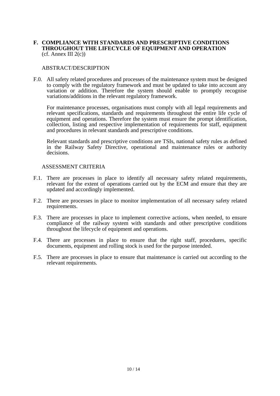#### **F. COMPLIANCE WITH STANDARDS AND PRESCRIPTIVE CONDITIONS THROUGHOUT THE LIFECYCLE OF EQUIPMENT AND OPERATION**  $(cf.$  Annex III  $2(c)$ )

#### ABSTRACT/DESCRIPTION

F.0. All safety related procedures and processes of the maintenance system must be designed to comply with the regulatory framework and must be updated to take into account any variation or addition. Therefore the system should enable to promptly recognise variations/additions in the relevant regulatory framework.

For maintenance processes, organisations must comply with all legal requirements and relevant specifications, standards and requirements throughout the entire life cycle of equipment and operations. Therefore the system must ensure the prompt identification, collection, listing and respective implementation of requirements for staff, equipment and procedures in relevant standards and prescriptive conditions.

Relevant standards and prescriptive conditions are TSIs, national safety rules as defined in the Railway Safety Directive, operational and maintenance rules or authority decisions.

- F.1. There are processes in place to identify all necessary safety related requirements, relevant for the extent of operations carried out by the ECM and ensure that they are updated and accordingly implemented.
- F.2. There are processes in place to monitor implementation of all necessary safety related requirements.
- F.3. There are processes in place to implement corrective actions, when needed, to ensure compliance of the railway system with standards and other prescriptive conditions throughout the lifecycle of equipment and operations.
- F.4. There are processes in place to ensure that the right staff, procedures, specific documents, equipment and rolling stock is used for the purpose intended.
- F.5. There are processes in place to ensure that maintenance is carried out according to the relevant requirements.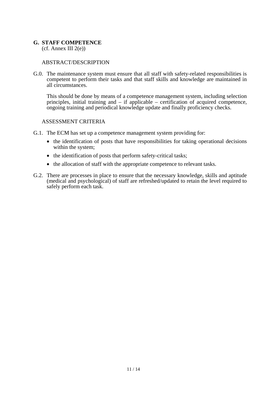#### **G. STAFF COMPETENCE**

 $(cf.$  Annex III  $2(e)$ )

#### ABSTRACT/DESCRIPTION

G.0. The maintenance system must ensure that all staff with safety-related responsibilities is competent to perform their tasks and that staff skills and knowledge are maintained in all circumstances.

This should be done by means of a competence management system, including selection principles, initial training and – if applicable – certification of acquired competence, ongoing training and periodical knowledge update and finally proficiency checks.

- G.1. The ECM has set up a competence management system providing for:
	- the identification of posts that have responsibilities for taking operational decisions within the system;
	- the identification of posts that perform safety-critical tasks;
	- the allocation of staff with the appropriate competence to relevant tasks.
- G.2. There are processes in place to ensure that the necessary knowledge, skills and aptitude (medical and psychological) of staff are refreshed/updated to retain the level required to safely perform each task.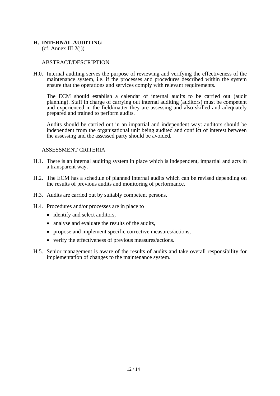#### **H. INTERNAL AUDITING**

 $(cf.$  Annex III  $2(j)$ )

#### ABSTRACT/DESCRIPTION

H.0. Internal auditing serves the purpose of reviewing and verifying the effectiveness of the maintenance system, i.e. if the processes and procedures described within the system ensure that the operations and services comply with relevant requirements.

The ECM should establish a calendar of internal audits to be carried out (audit planning). Staff in charge of carrying out internal auditing (auditors) must be competent and experienced in the field/matter they are assessing and also skilled and adequately prepared and trained to perform audits.

Audits should be carried out in an impartial and independent way: auditors should be independent from the organisational unit being audited and conflict of interest between the assessing and the assessed party should be avoided.

- H.1. There is an internal auditing system in place which is independent, impartial and acts in a transparent way.
- H.2. The ECM has a schedule of planned internal audits which can be revised depending on the results of previous audits and monitoring of performance.
- H.3. Audits are carried out by suitably competent persons.
- H.4. Procedures and/or processes are in place to
	- identify and select auditors.
	- analyse and evaluate the results of the audits,
	- propose and implement specific corrective measures/actions,
	- verify the effectiveness of previous measures/actions.
- H.5. Senior management is aware of the results of audits and take overall responsibility for implementation of changes to the maintenance system.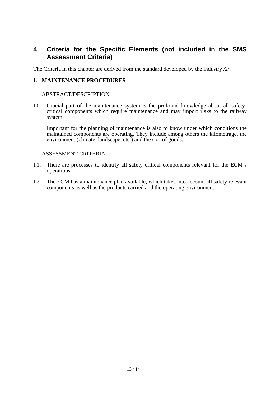### <span id="page-12-0"></span>**4 Criteria for the Specific Elements (not included in the SMS Assessment Criteria)**

The Criteria in this chapter are derived from the standard developed by the industry /2/.

#### **I. MAINTENANCE PROCEDURES**

#### ABSTRACT/DESCRIPTION

I.0. Crucial part of the maintenance system is the profound knowledge about all safetycritical components which require maintenance and may import risks to the railway system.

Important for the planning of maintenance is also to know under which conditions the maintained components are operating. They include among others the kilometrage, the environment (climate, landscape, etc.) and the sort of goods.

- I.1. There are processes to identify all safety critical components relevant for the ECM's operations.
- I.2. The ECM has a maintenance plan available, which takes into account all safety relevant components as well as the products carried and the operating environment.